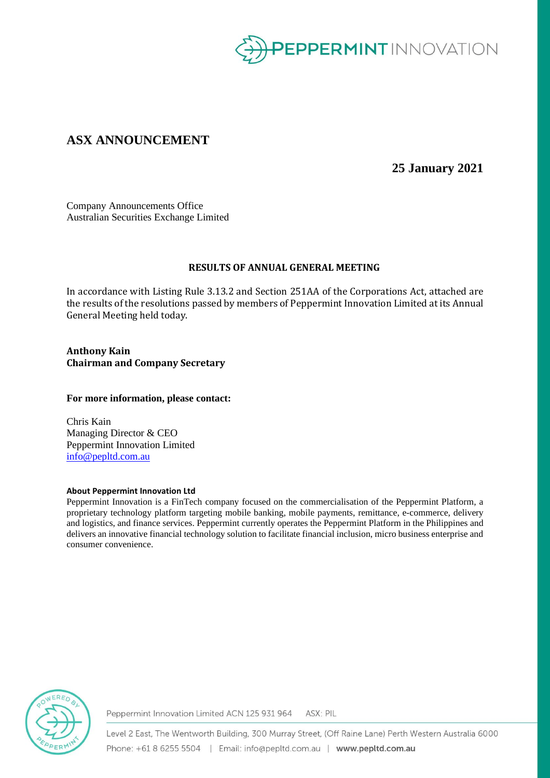

## **ASX ANNOUNCEMENT**

**25 January 2021**

Company Announcements Office Australian Securities Exchange Limited

### **RESULTS OF ANNUAL GENERAL MEETING**

In accordance with Listing Rule 3.13.2 and Section 251AA of the Corporations Act, attached are the results of the resolutions passed by members of Peppermint Innovation Limited at its Annual General Meeting held today.

**Anthony Kain Chairman and Company Secretary**

#### **For more information, please contact:**

Chris Kain Managing Director & CEO Peppermint Innovation Limited [info@pepltd.com.au](mailto:info@pepltd.com.au)

#### **About Peppermint Innovation Ltd**

Peppermint Innovation is a FinTech company focused on the commercialisation of the Peppermint Platform, a proprietary technology platform targeting mobile banking, mobile payments, remittance, e-commerce, delivery and logistics, and finance services. Peppermint currently operates the Peppermint Platform in the Philippines and delivers an innovative financial technology solution to facilitate financial inclusion, micro business enterprise and consumer convenience.



Peppermint Innovation Limited ACN 125 931 964 ASX: PIL

Level 2 East, The Wentworth Building, 300 Murray Street, (Off Raine Lane) Perth Western Australia 6000 Phone: +61 8 6255 5504 | Email: info@pepltd.com.au | www.pepltd.com.au